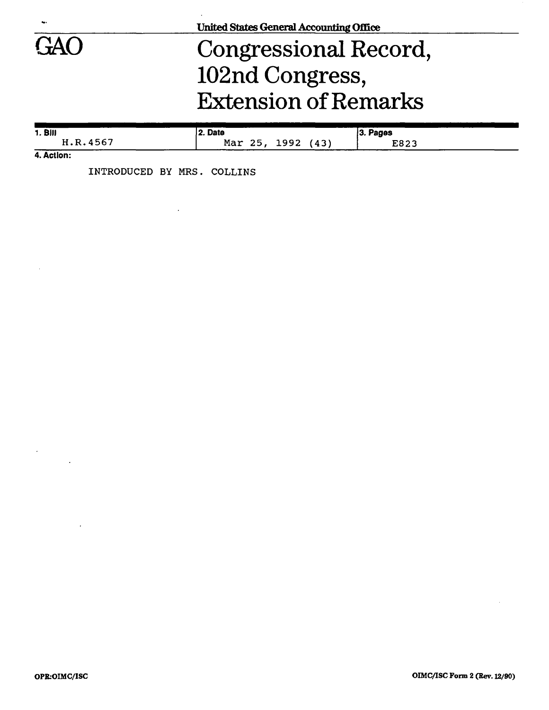|            | <b>United States General Accounting Office</b> |           |  |
|------------|------------------------------------------------|-----------|--|
| <b>GAO</b> | Congressional Record,                          |           |  |
|            | 102nd Congress,                                |           |  |
|            | <b>Extension of Remarks</b>                    |           |  |
| $1.$ Bill  | 2. Date                                        | 33. Pages |  |

| 1. BIII       | 2. Date           | 3. Pages |
|---------------|-------------------|----------|
| H.R.4567      | Mar 25, 1992 (43) | E823     |
| للمملكم كالما |                   |          |

**4. Action:** 

 $\mathcal{A}^{\mathrm{c}}$  .

 $\label{eq:2.1} \frac{1}{\sqrt{2}}\int_{0}^{\pi} \frac{1}{\sqrt{2\pi}}\left(\frac{1}{\sqrt{2\pi}}\right)^{2}dx$ 

 $\sim 10^{-11}$ 

 $\sim$ 

**INTRODUCED BY MRS. COLLINS** 

 $\sim 10^7$ 

 $\mathcal{L}^{\text{max}}_{\text{max}}$ 

 $\mathcal{A}^{\mathcal{A}}$